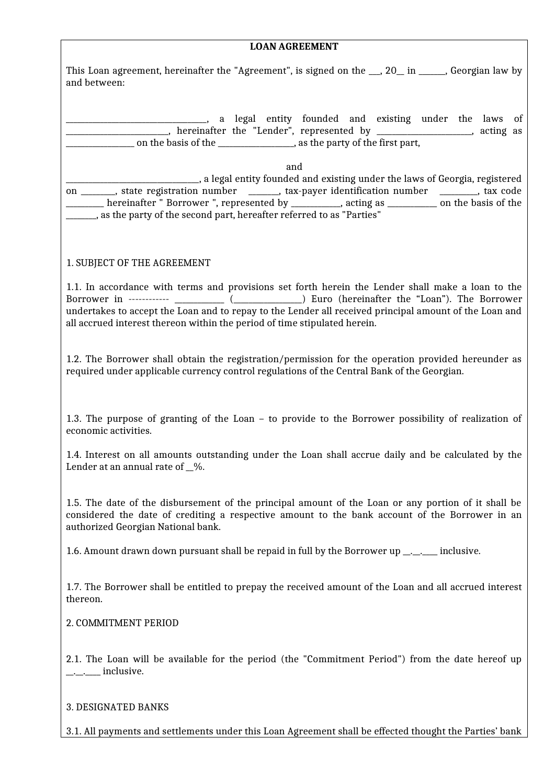| <b>LOAN AGREEMENT</b>                                                                                                                                                                                                                                                                                                                                                                                         |
|---------------------------------------------------------------------------------------------------------------------------------------------------------------------------------------------------------------------------------------------------------------------------------------------------------------------------------------------------------------------------------------------------------------|
| This Loan agreement, hereinafter the "Agreement", is signed on the __, 20_ in _____, Georgian law by<br>and between:                                                                                                                                                                                                                                                                                          |
| a legal entity founded and existing under the laws of<br>__________________________,hereinafter the "Lender", represented by _________________________,acting as                                                                                                                                                                                                                                              |
| and<br>_________________________________, a legal entity founded and existing under the laws of Georgia, registered<br>on _______, state registration number ______, tax-payer identification number _______, tax code<br>______ hereinafter " Borrower ", represented by __________, acting as __________ on the basis of the<br>______, as the party of the second part, hereafter referred to as "Parties" |
| 1. SUBJECT OF THE AGREEMENT                                                                                                                                                                                                                                                                                                                                                                                   |
| 1.1. In accordance with terms and provisions set forth herein the Lender shall make a loan to the<br>undertakes to accept the Loan and to repay to the Lender all received principal amount of the Loan and<br>all accrued interest thereon within the period of time stipulated herein.                                                                                                                      |
| 1.2. The Borrower shall obtain the registration/permission for the operation provided hereunder as<br>required under applicable currency control regulations of the Central Bank of the Georgian.                                                                                                                                                                                                             |
| 1.3. The purpose of granting of the Loan – to provide to the Borrower possibility of realization of<br>economic activities.                                                                                                                                                                                                                                                                                   |
| 1.4. Interest on all amounts outstanding under the Loan shall accrue daily and be calculated by the<br>Lender at an annual rate of $\_\%$ .                                                                                                                                                                                                                                                                   |
| 1.5. The date of the disbursement of the principal amount of the Loan or any portion of it shall be<br>considered the date of crediting a respective amount to the bank account of the Borrower in an<br>authorized Georgian National bank.                                                                                                                                                                   |
| 1.6. Amount drawn down pursuant shall be repaid in full by the Borrower up ______ inclusive.                                                                                                                                                                                                                                                                                                                  |
| 1.7. The Borrower shall be entitled to prepay the received amount of the Loan and all accrued interest<br>thereon.                                                                                                                                                                                                                                                                                            |
| 2. COMMITMENT PERIOD                                                                                                                                                                                                                                                                                                                                                                                          |
| 2.1. The Loan will be available for the period (the "Commitment Period") from the date hereof up                                                                                                                                                                                                                                                                                                              |
| 3. DESIGNATED BANKS                                                                                                                                                                                                                                                                                                                                                                                           |

٦

3.1. All payments and settlements under this Loan Agreement shall be effected thought the Parties' bank